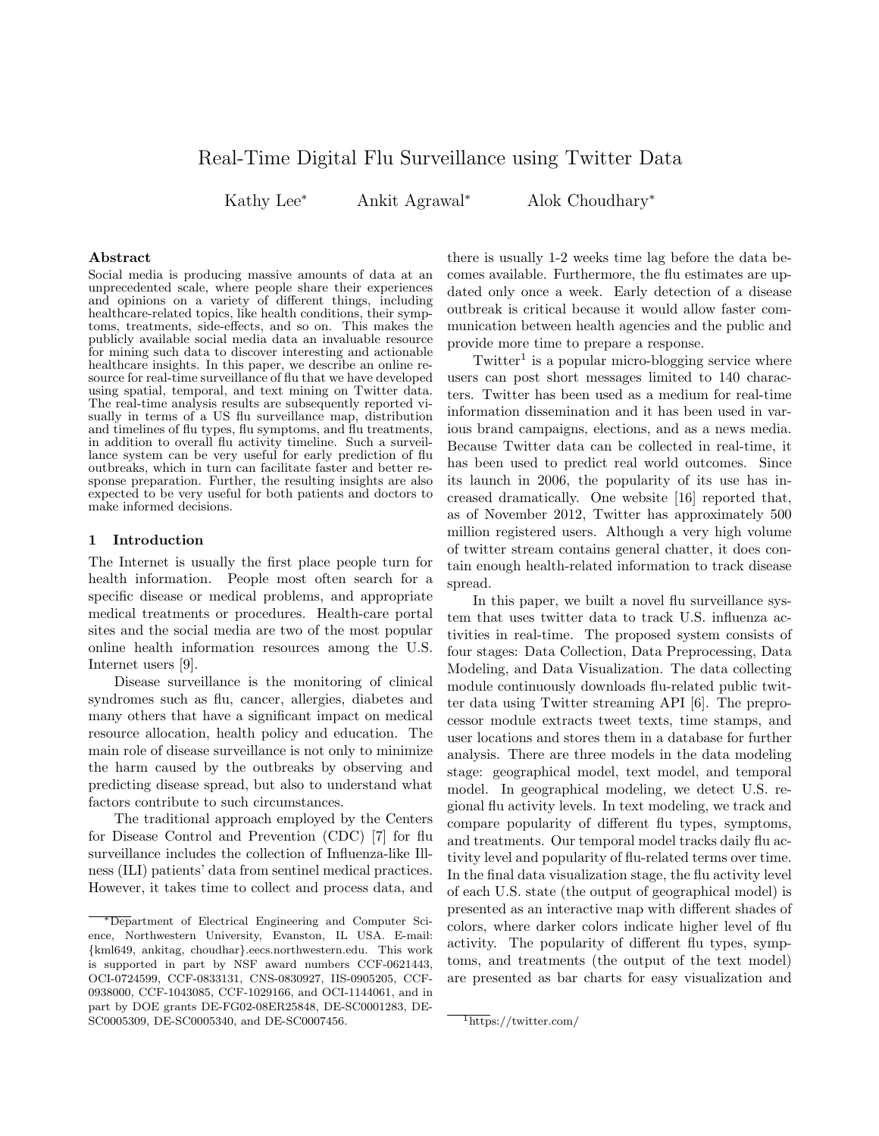# Real-Time Digital Flu Surveillance using Twitter Data

Kathy Lee<sup>∗</sup> Ankit Agrawal<sup>∗</sup> Alok Choudhary<sup>∗</sup>

### Abstract

Social media is producing massive amounts of data at an unprecedented scale, where people share their experiences and opinions on a variety of different things, including healthcare-related topics, like health conditions, their symptoms, treatments, side-effects, and so on. This makes the publicly available social media data an invaluable resource for mining such data to discover interesting and actionable healthcare insights. In this paper, we describe an online resource for real-time surveillance of flu that we have developed using spatial, temporal, and text mining on Twitter data. The real-time analysis results are subsequently reported visually in terms of a US flu surveillance map, distribution and timelines of flu types, flu symptoms, and flu treatments, in addition to overall flu activity timeline. Such a surveillance system can be very useful for early prediction of flu outbreaks, which in turn can facilitate faster and better response preparation. Further, the resulting insights are also expected to be very useful for both patients and doctors to make informed decisions.

#### 1 Introduction

The Internet is usually the first place people turn for health information. People most often search for a specific disease or medical problems, and appropriate medical treatments or procedures. Health-care portal sites and the social media are two of the most popular online health information resources among the U.S. Internet users [9].

Disease surveillance is the monitoring of clinical syndromes such as flu, cancer, allergies, diabetes and many others that have a significant impact on medical resource allocation, health policy and education. The main role of disease surveillance is not only to minimize the harm caused by the outbreaks by observing and predicting disease spread, but also to understand what factors contribute to such circumstances.

The traditional approach employed by the Centers for Disease Control and Prevention (CDC) [7] for flu surveillance includes the collection of Influenza-like Illness (ILI) patients' data from sentinel medical practices. However, it takes time to collect and process data, and

there is usually 1-2 weeks time lag before the data becomes available. Furthermore, the flu estimates are updated only once a week. Early detection of a disease outbreak is critical because it would allow faster communication between health agencies and the public and provide more time to prepare a response.

 $Twitter<sup>1</sup>$  is a popular micro-blogging service where users can post short messages limited to 140 characters. Twitter has been used as a medium for real-time information dissemination and it has been used in various brand campaigns, elections, and as a news media. Because Twitter data can be collected in real-time, it has been used to predict real world outcomes. Since its launch in 2006, the popularity of its use has increased dramatically. One website [16] reported that, as of November 2012, Twitter has approximately 500 million registered users. Although a very high volume of twitter stream contains general chatter, it does contain enough health-related information to track disease spread.

In this paper, we built a novel flu surveillance system that uses twitter data to track U.S. influenza activities in real-time. The proposed system consists of four stages: Data Collection, Data Preprocessing, Data Modeling, and Data Visualization. The data collecting module continuously downloads flu-related public twitter data using Twitter streaming API [6]. The preprocessor module extracts tweet texts, time stamps, and user locations and stores them in a database for further analysis. There are three models in the data modeling stage: geographical model, text model, and temporal model. In geographical modeling, we detect U.S. regional flu activity levels. In text modeling, we track and compare popularity of different flu types, symptoms, and treatments. Our temporal model tracks daily flu activity level and popularity of flu-related terms over time. In the final data visualization stage, the flu activity level of each U.S. state (the output of geographical model) is presented as an interactive map with different shades of colors, where darker colors indicate higher level of flu activity. The popularity of different flu types, symptoms, and treatments (the output of the text model) are presented as bar charts for easy visualization and

<sup>∗</sup>Department of Electrical Engineering and Computer Science, Northwestern University, Evanston, IL USA. E-mail: {kml649, ankitag, choudhar}.eecs.northwestern.edu. This work is supported in part by NSF award numbers CCF-0621443, OCI-0724599, CCF-0833131, CNS-0830927, IIS-0905205, CCF-0938000, CCF-1043085, CCF-1029166, and OCI-1144061, and in part by DOE grants DE-FG02-08ER25848, DE-SC0001283, DE-SC0005309, DE-SC0005340, and DE-SC0007456.

<sup>1</sup>https://twitter.com/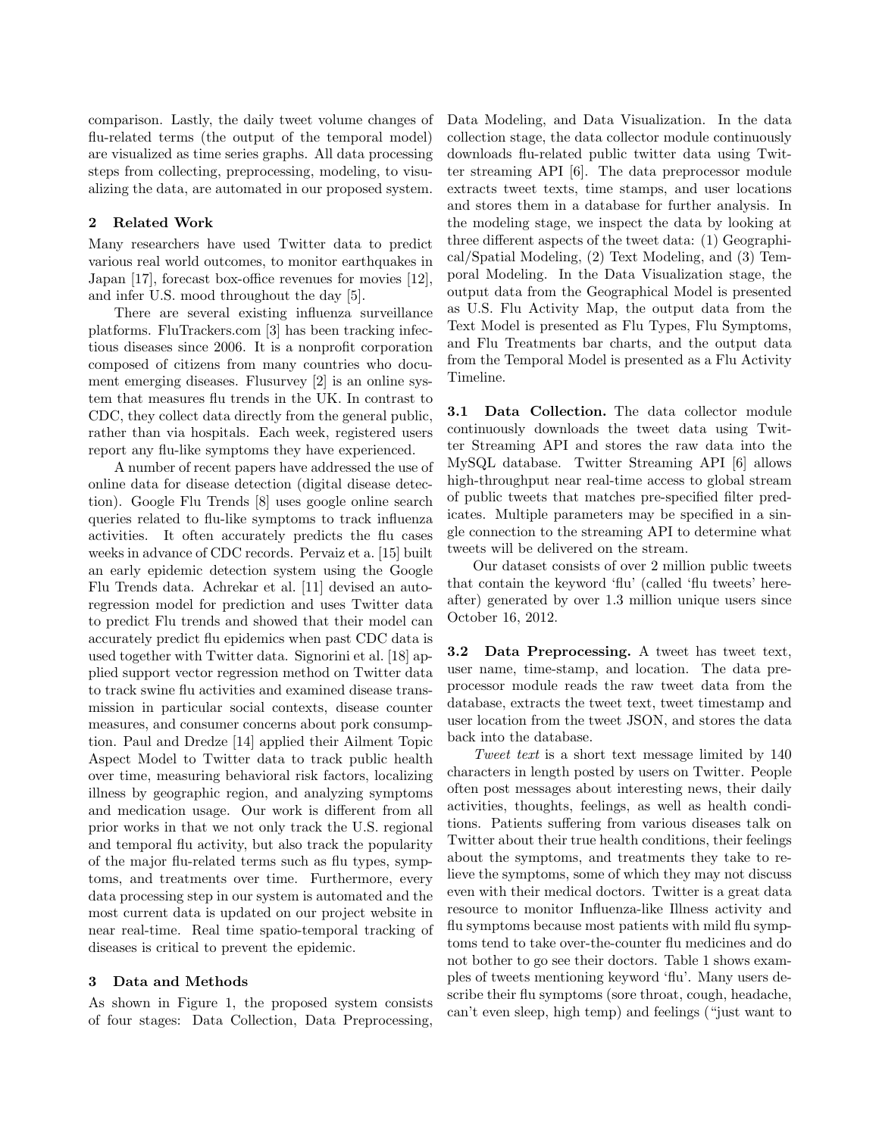comparison. Lastly, the daily tweet volume changes of flu-related terms (the output of the temporal model) are visualized as time series graphs. All data processing steps from collecting, preprocessing, modeling, to visualizing the data, are automated in our proposed system.

## 2 Related Work

Many researchers have used Twitter data to predict various real world outcomes, to monitor earthquakes in Japan [17], forecast box-office revenues for movies [12], and infer U.S. mood throughout the day [5].

There are several existing influenza surveillance platforms. FluTrackers.com [3] has been tracking infectious diseases since 2006. It is a nonprofit corporation composed of citizens from many countries who document emerging diseases. Flusurvey [2] is an online system that measures flu trends in the UK. In contrast to CDC, they collect data directly from the general public, rather than via hospitals. Each week, registered users report any flu-like symptoms they have experienced.

A number of recent papers have addressed the use of online data for disease detection (digital disease detection). Google Flu Trends [8] uses google online search queries related to flu-like symptoms to track influenza activities. It often accurately predicts the flu cases weeks in advance of CDC records. Pervaiz et a. [15] built an early epidemic detection system using the Google Flu Trends data. Achrekar et al. [11] devised an autoregression model for prediction and uses Twitter data to predict Flu trends and showed that their model can accurately predict flu epidemics when past CDC data is used together with Twitter data. Signorini et al. [18] applied support vector regression method on Twitter data to track swine flu activities and examined disease transmission in particular social contexts, disease counter measures, and consumer concerns about pork consumption. Paul and Dredze [14] applied their Ailment Topic Aspect Model to Twitter data to track public health over time, measuring behavioral risk factors, localizing illness by geographic region, and analyzing symptoms and medication usage. Our work is different from all prior works in that we not only track the U.S. regional and temporal flu activity, but also track the popularity of the major flu-related terms such as flu types, symptoms, and treatments over time. Furthermore, every data processing step in our system is automated and the most current data is updated on our project website in near real-time. Real time spatio-temporal tracking of diseases is critical to prevent the epidemic.

## 3 Data and Methods

As shown in Figure 1, the proposed system consists of four stages: Data Collection, Data Preprocessing,

Data Modeling, and Data Visualization. In the data collection stage, the data collector module continuously downloads flu-related public twitter data using Twitter streaming API [6]. The data preprocessor module extracts tweet texts, time stamps, and user locations and stores them in a database for further analysis. In the modeling stage, we inspect the data by looking at three different aspects of the tweet data: (1) Geographical/Spatial Modeling, (2) Text Modeling, and (3) Temporal Modeling. In the Data Visualization stage, the output data from the Geographical Model is presented as U.S. Flu Activity Map, the output data from the Text Model is presented as Flu Types, Flu Symptoms, and Flu Treatments bar charts, and the output data from the Temporal Model is presented as a Flu Activity Timeline.

3.1 Data Collection. The data collector module continuously downloads the tweet data using Twitter Streaming API and stores the raw data into the MySQL database. Twitter Streaming API [6] allows high-throughput near real-time access to global stream of public tweets that matches pre-specified filter predicates. Multiple parameters may be specified in a single connection to the streaming API to determine what tweets will be delivered on the stream.

Our dataset consists of over 2 million public tweets that contain the keyword 'flu' (called 'flu tweets' hereafter) generated by over 1.3 million unique users since October 16, 2012.

3.2 Data Preprocessing. A tweet has tweet text, user name, time-stamp, and location. The data preprocessor module reads the raw tweet data from the database, extracts the tweet text, tweet timestamp and user location from the tweet JSON, and stores the data back into the database.

Tweet text is a short text message limited by 140 characters in length posted by users on Twitter. People often post messages about interesting news, their daily activities, thoughts, feelings, as well as health conditions. Patients suffering from various diseases talk on Twitter about their true health conditions, their feelings about the symptoms, and treatments they take to relieve the symptoms, some of which they may not discuss even with their medical doctors. Twitter is a great data resource to monitor Influenza-like Illness activity and flu symptoms because most patients with mild flu symptoms tend to take over-the-counter flu medicines and do not bother to go see their doctors. Table 1 shows examples of tweets mentioning keyword 'flu'. Many users describe their flu symptoms (sore throat, cough, headache, can't even sleep, high temp) and feelings ("just want to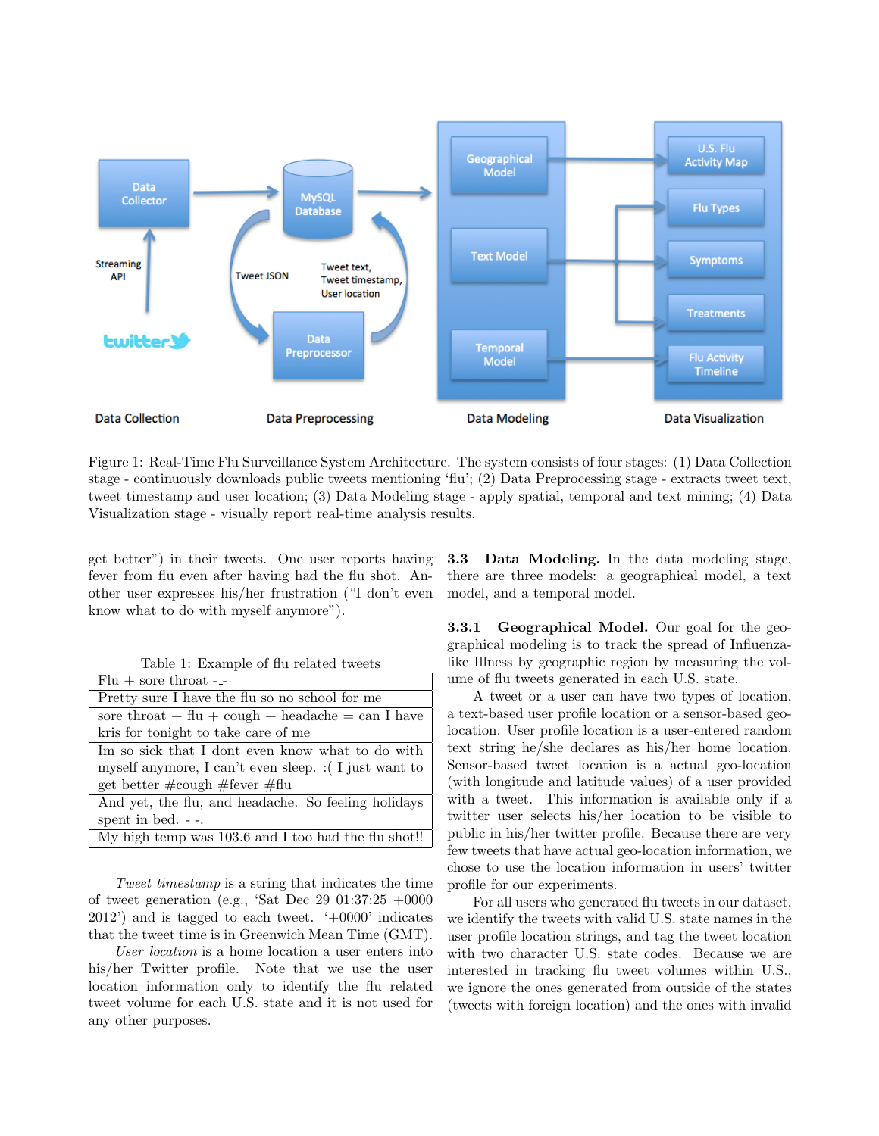

Figure 1: Real-Time Flu Surveillance System Architecture. The system consists of four stages: (1) Data Collection stage - continuously downloads public tweets mentioning 'flu'; (2) Data Preprocessing stage - extracts tweet text, tweet timestamp and user location; (3) Data Modeling stage - apply spatial, temporal and text mining; (4) Data Visualization stage - visually report real-time analysis results.

get better") in their tweets. One user reports having fever from flu even after having had the flu shot. Another user expresses his/her frustration ("I don't even know what to do with myself anymore").

|  | Table 1: Example of flu related tweets |  |  |  |
|--|----------------------------------------|--|--|--|
|--|----------------------------------------|--|--|--|

| $Flu +$ sore throat -_-                                   |  |  |
|-----------------------------------------------------------|--|--|
| Pretty sure I have the flu so no school for me            |  |  |
| sore throat $+$ flu $+$ cough $+$ headache $=$ can I have |  |  |
| kris for tonight to take care of me                       |  |  |
| Im so sick that I dont even know what to do with          |  |  |
| myself anymore, I can't even sleep. : (I just want to     |  |  |
| get better $\#\text{cough }\#\text{fever }\#\text{flu}$   |  |  |
| And yet, the flu, and headache. So feeling holidays       |  |  |
| spent in bed. $-$ .                                       |  |  |
| My high temp was 103.6 and I too had the flu shot!!       |  |  |

Tweet timestamp is a string that indicates the time of tweet generation (e.g., 'Sat Dec 29 01:37:25 +0000  $2012'$ ) and is tagged to each tweet.  $\div 0000'$  indicates that the tweet time is in Greenwich Mean Time (GMT).

User location is a home location a user enters into his/her Twitter profile. Note that we use the user location information only to identify the flu related tweet volume for each U.S. state and it is not used for any other purposes.

3.3 Data Modeling. In the data modeling stage, there are three models: a geographical model, a text model, and a temporal model.

**3.3.1 Geographical Model.** Our goal for the geographical modeling is to track the spread of Influenzalike Illness by geographic region by measuring the volume of flu tweets generated in each U.S. state.

A tweet or a user can have two types of location, a text-based user profile location or a sensor-based geolocation. User profile location is a user-entered random text string he/she declares as his/her home location. Sensor-based tweet location is a actual geo-location (with longitude and latitude values) of a user provided with a tweet. This information is available only if a twitter user selects his/her location to be visible to public in his/her twitter profile. Because there are very few tweets that have actual geo-location information, we chose to use the location information in users' twitter profile for our experiments.

For all users who generated flu tweets in our dataset, we identify the tweets with valid U.S. state names in the user profile location strings, and tag the tweet location with two character U.S. state codes. Because we are interested in tracking flu tweet volumes within U.S., we ignore the ones generated from outside of the states (tweets with foreign location) and the ones with invalid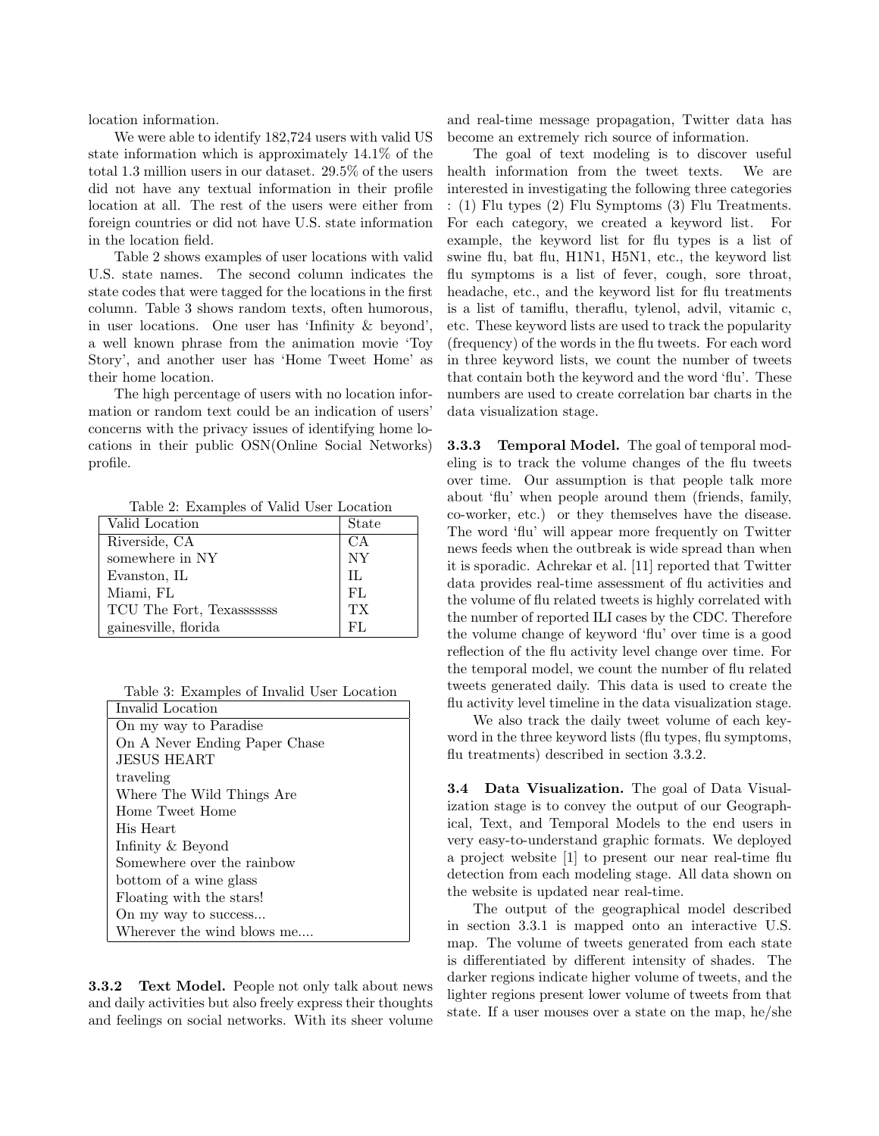location information.

We were able to identify 182,724 users with valid US state information which is approximately 14.1% of the total 1.3 million users in our dataset. 29.5% of the users did not have any textual information in their profile location at all. The rest of the users were either from foreign countries or did not have U.S. state information in the location field.

Table 2 shows examples of user locations with valid U.S. state names. The second column indicates the state codes that were tagged for the locations in the first column. Table 3 shows random texts, often humorous, in user locations. One user has 'Infinity & beyond', a well known phrase from the animation movie 'Toy Story', and another user has 'Home Tweet Home' as their home location.

The high percentage of users with no location information or random text could be an indication of users' concerns with the privacy issues of identifying home locations in their public OSN(Online Social Networks) profile.

Table 2: Examples of Valid User Location

| Valid Location            | State     |
|---------------------------|-----------|
| Riverside, CA             | CА        |
| somewhere in NY           | <b>NY</b> |
| Evanston, IL              | H.        |
| Miami, FL                 | FL.       |
| TCU The Fort, Texasssssss | TХ        |
| gainesville, florida      | FЦ.       |

|  | Table 3: Examples of Invalid User Location |  |  |  |
|--|--------------------------------------------|--|--|--|
|--|--------------------------------------------|--|--|--|

| Invalid Location              |
|-------------------------------|
| On my way to Paradise         |
| On A Never Ending Paper Chase |
| JESUS HEART                   |
| traveling                     |
| Where The Wild Things Are     |
| Home Tweet Home               |
| His Heart                     |
| Infinity & Beyond             |
| Somewhere over the rainbow    |
| bottom of a wine glass        |
| Floating with the stars!      |
| On my way to success          |
| Wherever the wind blows me    |

3.3.2 Text Model. People not only talk about news and daily activities but also freely express their thoughts and feelings on social networks. With its sheer volume

and real-time message propagation, Twitter data has become an extremely rich source of information.

The goal of text modeling is to discover useful health information from the tweet texts. We are interested in investigating the following three categories : (1) Flu types (2) Flu Symptoms (3) Flu Treatments. For each category, we created a keyword list. For example, the keyword list for flu types is a list of swine flu, bat flu, H1N1, H5N1, etc., the keyword list flu symptoms is a list of fever, cough, sore throat, headache, etc., and the keyword list for flu treatments is a list of tamiflu, theraflu, tylenol, advil, vitamic c, etc. These keyword lists are used to track the popularity (frequency) of the words in the flu tweets. For each word in three keyword lists, we count the number of tweets that contain both the keyword and the word 'flu'. These numbers are used to create correlation bar charts in the data visualization stage.

3.3.3 Temporal Model. The goal of temporal modeling is to track the volume changes of the flu tweets over time. Our assumption is that people talk more about 'flu' when people around them (friends, family, co-worker, etc.) or they themselves have the disease. The word 'flu' will appear more frequently on Twitter news feeds when the outbreak is wide spread than when it is sporadic. Achrekar et al. [11] reported that Twitter data provides real-time assessment of flu activities and the volume of flu related tweets is highly correlated with the number of reported ILI cases by the CDC. Therefore the volume change of keyword 'flu' over time is a good reflection of the flu activity level change over time. For the temporal model, we count the number of flu related tweets generated daily. This data is used to create the flu activity level timeline in the data visualization stage.

We also track the daily tweet volume of each keyword in the three keyword lists (flu types, flu symptoms, flu treatments) described in section 3.3.2.

3.4 Data Visualization. The goal of Data Visualization stage is to convey the output of our Geographical, Text, and Temporal Models to the end users in very easy-to-understand graphic formats. We deployed a project website [1] to present our near real-time flu detection from each modeling stage. All data shown on the website is updated near real-time.

The output of the geographical model described in section 3.3.1 is mapped onto an interactive U.S. map. The volume of tweets generated from each state is differentiated by different intensity of shades. The darker regions indicate higher volume of tweets, and the lighter regions present lower volume of tweets from that state. If a user mouses over a state on the map, he/she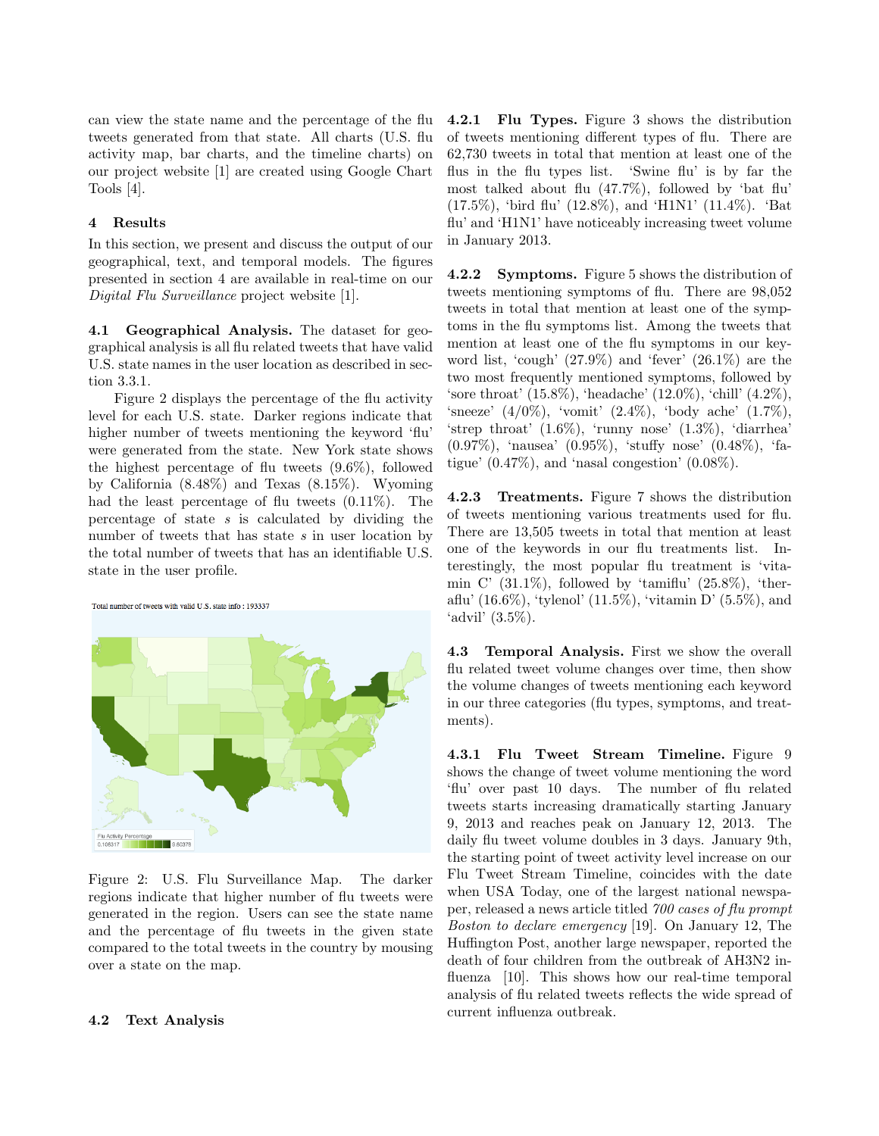can view the state name and the percentage of the flu tweets generated from that state. All charts (U.S. flu activity map, bar charts, and the timeline charts) on our project website [1] are created using Google Chart Tools [4].

# 4 Results

In this section, we present and discuss the output of our geographical, text, and temporal models. The figures presented in section 4 are available in real-time on our Digital Flu Surveillance project website [1].

4.1 Geographical Analysis. The dataset for geographical analysis is all flu related tweets that have valid U.S. state names in the user location as described in section 3.3.1.

Figure 2 displays the percentage of the flu activity level for each U.S. state. Darker regions indicate that higher number of tweets mentioning the keyword 'flu' were generated from the state. New York state shows the highest percentage of flu tweets (9.6%), followed by California (8.48%) and Texas (8.15%). Wyoming had the least percentage of flu tweets (0.11%). The percentage of state  $s$  is calculated by dividing the number of tweets that has state s in user location by the total number of tweets that has an identifiable U.S. state in the user profile.





Figure 2: U.S. Flu Surveillance Map. The darker regions indicate that higher number of flu tweets were generated in the region. Users can see the state name and the percentage of flu tweets in the given state compared to the total tweets in the country by mousing over a state on the map.

# 4.2 Text Analysis

4.2.1 Flu Types. Figure 3 shows the distribution of tweets mentioning different types of flu. There are 62,730 tweets in total that mention at least one of the flus in the flu types list. 'Swine flu' is by far the most talked about flu (47.7%), followed by 'bat flu' (17.5%), 'bird flu' (12.8%), and 'H1N1' (11.4%). 'Bat flu' and 'H1N1' have noticeably increasing tweet volume in January 2013.

4.2.2 Symptoms. Figure 5 shows the distribution of tweets mentioning symptoms of flu. There are 98,052 tweets in total that mention at least one of the symptoms in the flu symptoms list. Among the tweets that mention at least one of the flu symptoms in our keyword list, 'cough' (27.9%) and 'fever' (26.1%) are the two most frequently mentioned symptoms, followed by 'sore throat' (15.8%), 'headache' (12.0%), 'chill' (4.2%), 'sneeze' (4/0%), 'vomit' (2.4%), 'body ache' (1.7%), 'strep throat' (1.6%), 'runny nose' (1.3%), 'diarrhea' (0.97%), 'nausea' (0.95%), 'stuffy nose' (0.48%), 'fatigue'  $(0.47\%)$ , and 'nasal congestion'  $(0.08\%).$ 

4.2.3 Treatments. Figure 7 shows the distribution of tweets mentioning various treatments used for flu. There are 13,505 tweets in total that mention at least one of the keywords in our flu treatments list. Interestingly, the most popular flu treatment is 'vitamin C'  $(31.1\%)$ , followed by 'tamiflu'  $(25.8\%)$ , 'theraflu' (16.6%), 'tylenol' (11.5%), 'vitamin D' (5.5%), and 'advil' (3.5%).

4.3 Temporal Analysis. First we show the overall flu related tweet volume changes over time, then show the volume changes of tweets mentioning each keyword in our three categories (flu types, symptoms, and treatments).

4.3.1 Flu Tweet Stream Timeline. Figure 9 shows the change of tweet volume mentioning the word 'flu' over past 10 days. The number of flu related tweets starts increasing dramatically starting January 9, 2013 and reaches peak on January 12, 2013. The daily flu tweet volume doubles in 3 days. January 9th, the starting point of tweet activity level increase on our Flu Tweet Stream Timeline, coincides with the date when USA Today, one of the largest national newspaper, released a news article titled 700 cases of flu prompt Boston to declare emergency [19]. On January 12, The Huffington Post, another large newspaper, reported the death of four children from the outbreak of AH3N2 influenza [10]. This shows how our real-time temporal analysis of flu related tweets reflects the wide spread of current influenza outbreak.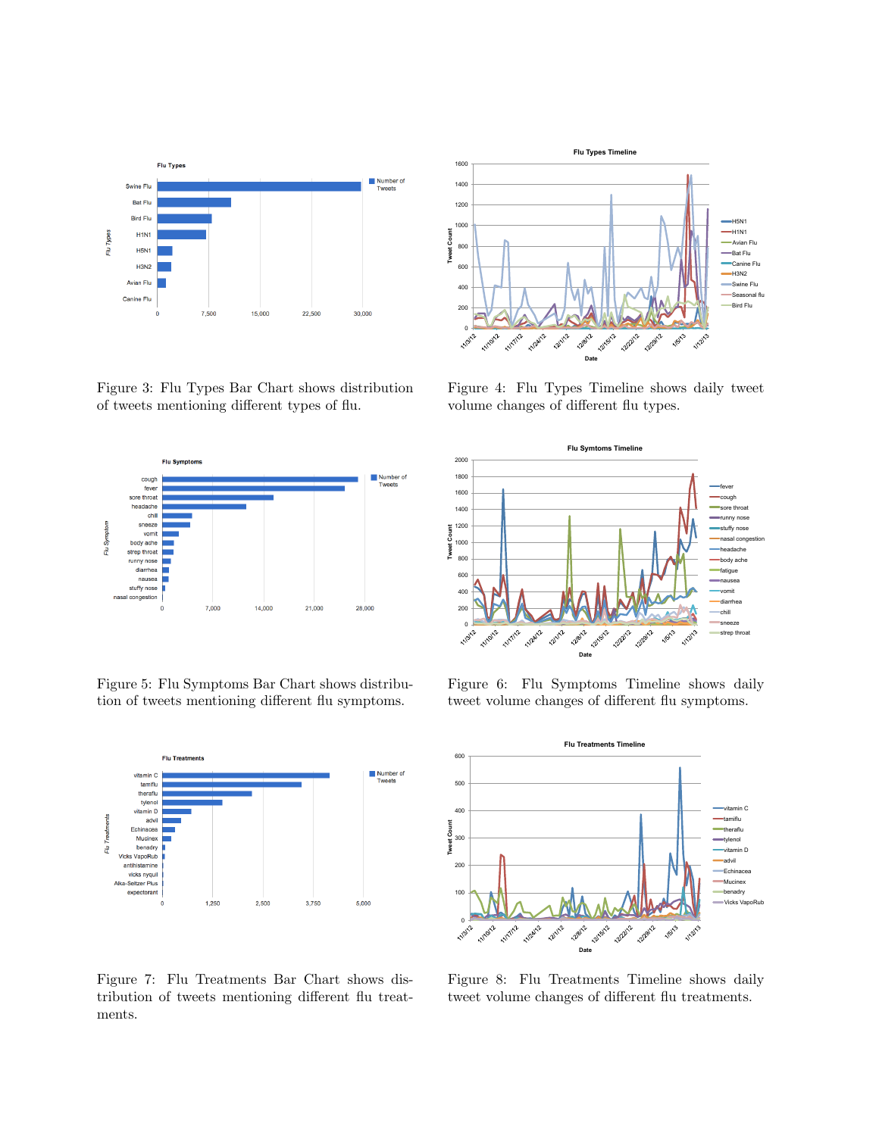

Figure 3: Flu Types Bar Chart shows distribution



Figure 5: Flu Symptoms Bar Chart shows distribu-



Figure 7: Flu Treatments Bar Chart shows distribution of tweets mentioning different flu treat-



Figure 4: Flu Types Timeline shows daily tweet volume changes of different flu types.



Figure 6: Flu Symptoms Timeline shows daily tweet volume changes of different flu symptoms.



Figure 8: Flu Treatments Timeline shows daily tweet volume changes of different flu treatments.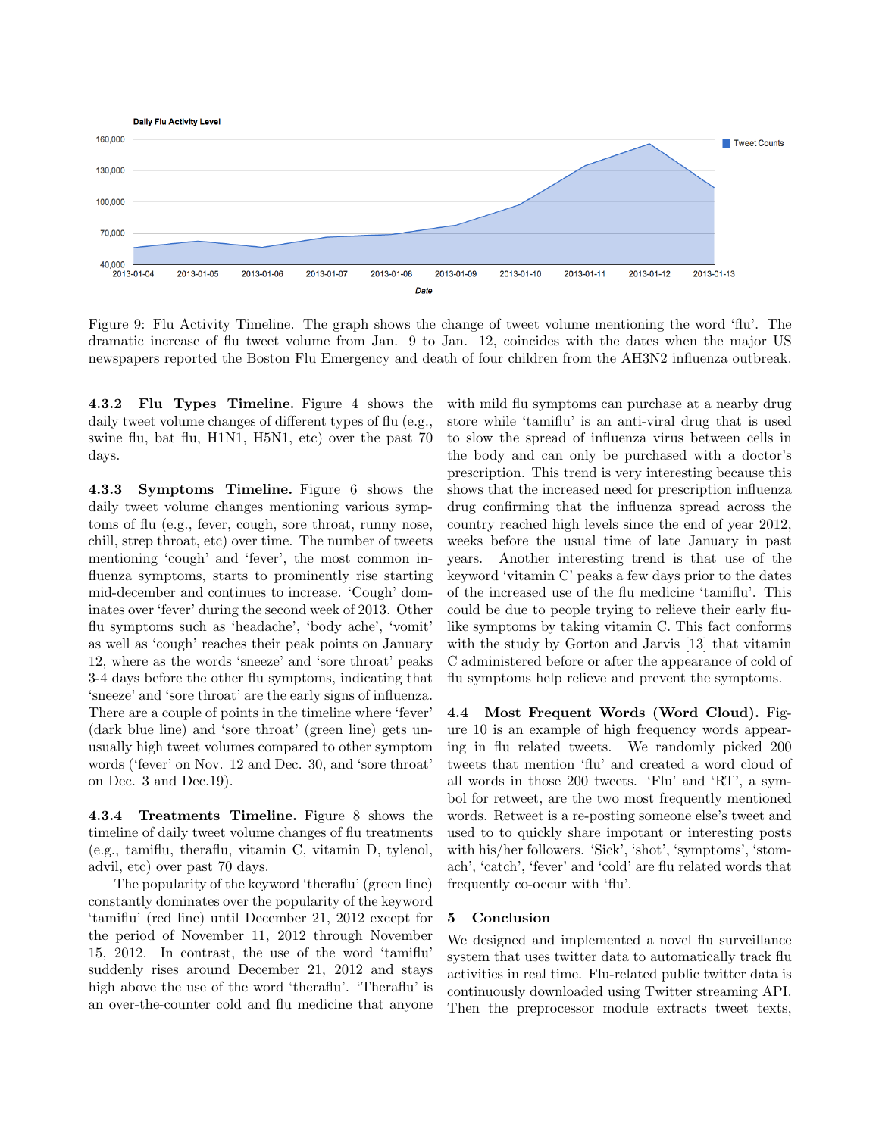

Figure 9: Flu Activity Timeline. The graph shows the change of tweet volume mentioning the word 'flu'. The dramatic increase of flu tweet volume from Jan. 9 to Jan. 12, coincides with the dates when the major US newspapers reported the Boston Flu Emergency and death of four children from the AH3N2 influenza outbreak.

4.3.2 Flu Types Timeline. Figure 4 shows the daily tweet volume changes of different types of flu (e.g., swine flu, bat flu, H1N1, H5N1, etc) over the past 70 days.

4.3.3 Symptoms Timeline. Figure 6 shows the daily tweet volume changes mentioning various symptoms of flu (e.g., fever, cough, sore throat, runny nose, chill, strep throat, etc) over time. The number of tweets mentioning 'cough' and 'fever', the most common influenza symptoms, starts to prominently rise starting mid-december and continues to increase. 'Cough' dominates over 'fever' during the second week of 2013. Other flu symptoms such as 'headache', 'body ache', 'vomit' as well as 'cough' reaches their peak points on January 12, where as the words 'sneeze' and 'sore throat' peaks 3-4 days before the other flu symptoms, indicating that 'sneeze' and 'sore throat' are the early signs of influenza. There are a couple of points in the timeline where 'fever' (dark blue line) and 'sore throat' (green line) gets unusually high tweet volumes compared to other symptom words ('fever' on Nov. 12 and Dec. 30, and 'sore throat' on Dec. 3 and Dec.19).

4.3.4 Treatments Timeline. Figure 8 shows the timeline of daily tweet volume changes of flu treatments (e.g., tamiflu, theraflu, vitamin C, vitamin D, tylenol, advil, etc) over past 70 days.

The popularity of the keyword 'theraflu' (green line) constantly dominates over the popularity of the keyword 'tamiflu' (red line) until December 21, 2012 except for the period of November 11, 2012 through November 15, 2012. In contrast, the use of the word 'tamiflu' suddenly rises around December 21, 2012 and stays high above the use of the word 'theraflu'. 'Theraflu' is an over-the-counter cold and flu medicine that anyone

with mild flu symptoms can purchase at a nearby drug store while 'tamiflu' is an anti-viral drug that is used to slow the spread of influenza virus between cells in the body and can only be purchased with a doctor's prescription. This trend is very interesting because this shows that the increased need for prescription influenza drug confirming that the influenza spread across the country reached high levels since the end of year 2012, weeks before the usual time of late January in past years. Another interesting trend is that use of the keyword 'vitamin C' peaks a few days prior to the dates of the increased use of the flu medicine 'tamiflu'. This could be due to people trying to relieve their early flulike symptoms by taking vitamin C. This fact conforms with the study by Gorton and Jarvis [13] that vitamin C administered before or after the appearance of cold of flu symptoms help relieve and prevent the symptoms.

4.4 Most Frequent Words (Word Cloud). Figure 10 is an example of high frequency words appearing in flu related tweets. We randomly picked 200 tweets that mention 'flu' and created a word cloud of all words in those 200 tweets. 'Flu' and 'RT', a symbol for retweet, are the two most frequently mentioned words. Retweet is a re-posting someone else's tweet and used to to quickly share impotant or interesting posts with his/her followers. 'Sick', 'shot', 'symptoms', 'stomach', 'catch', 'fever' and 'cold' are flu related words that frequently co-occur with 'flu'.

#### 5 Conclusion

We designed and implemented a novel flu surveillance system that uses twitter data to automatically track flu activities in real time. Flu-related public twitter data is continuously downloaded using Twitter streaming API. Then the preprocessor module extracts tweet texts,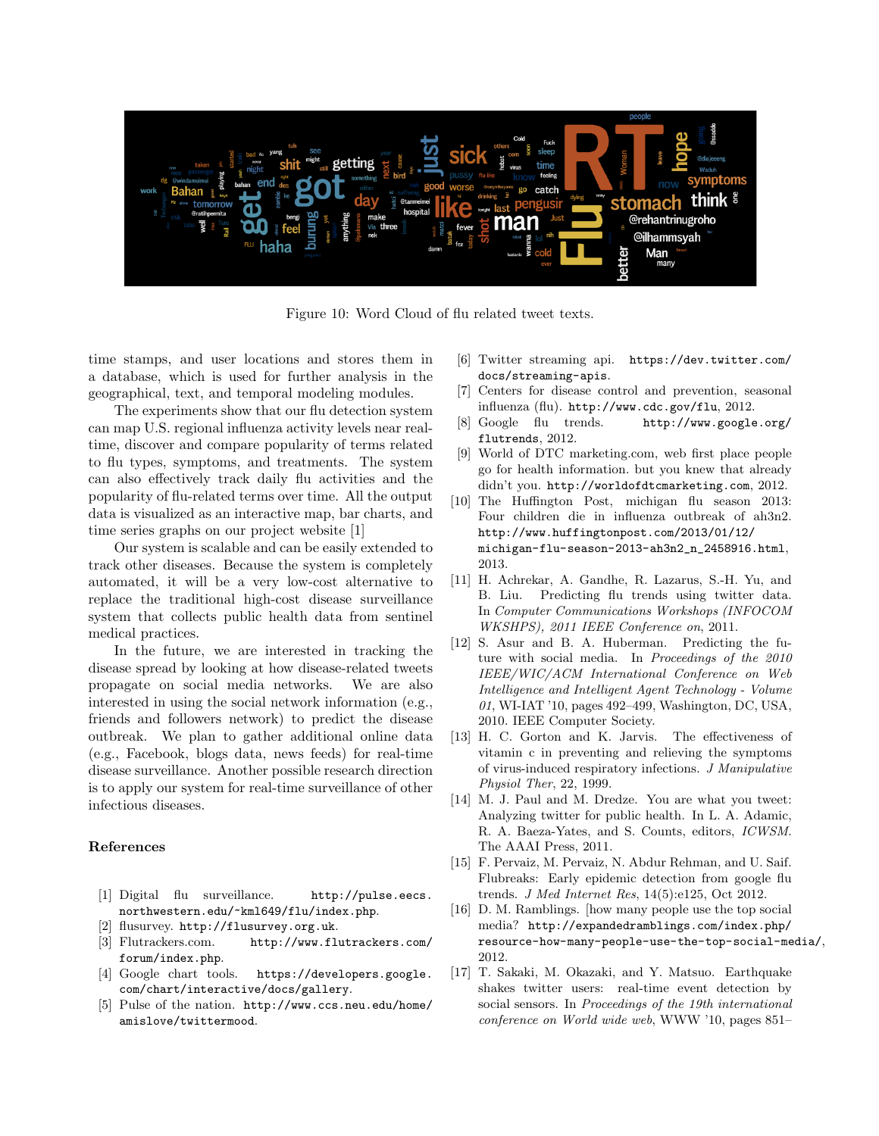

Figure 10: Word Cloud of flu related tweet texts.

time stamps, and user locations and stores them in a database, which is used for further analysis in the geographical, text, and temporal modeling modules.

The experiments show that our flu detection system can map U.S. regional influenza activity levels near realtime, discover and compare popularity of terms related to flu types, symptoms, and treatments. The system can also effectively track daily flu activities and the popularity of flu-related terms over time. All the output data is visualized as an interactive map, bar charts, and time series graphs on our project website [1]

Our system is scalable and can be easily extended to track other diseases. Because the system is completely automated, it will be a very low-cost alternative to replace the traditional high-cost disease surveillance system that collects public health data from sentinel medical practices.

In the future, we are interested in tracking the disease spread by looking at how disease-related tweets propagate on social media networks. We are also interested in using the social network information (e.g., friends and followers network) to predict the disease outbreak. We plan to gather additional online data (e.g., Facebook, blogs data, news feeds) for real-time disease surveillance. Another possible research direction is to apply our system for real-time surveillance of other infectious diseases.

#### References

- [1] Digital flu surveillance. http://pulse.eecs. northwestern.edu/~kml649/flu/index.php.
- [2] flusurvey. http://flusurvey.org.uk.
- [3] Flutrackers.com. http://www.flutrackers.com/ forum/index.php.
- [4] Google chart tools. https://developers.google. com/chart/interactive/docs/gallery.
- [5] Pulse of the nation. http://www.ccs.neu.edu/home/ amislove/twittermood.
- [6] Twitter streaming api. https://dev.twitter.com/ docs/streaming-apis.
- [7] Centers for disease control and prevention, seasonal influenza (flu). http://www.cdc.gov/flu, 2012.
- [8] Google flu trends. http://www.google.org/ flutrends, 2012.
- [9] World of DTC marketing.com, web first place people go for health information. but you knew that already didn't you. http://worldofdtcmarketing.com, 2012.
- [10] The Huffington Post, michigan flu season 2013: Four children die in influenza outbreak of ah3n2. http://www.huffingtonpost.com/2013/01/12/ michigan-flu-season-2013-ah3n2\_n\_2458916.html, 2013.
- [11] H. Achrekar, A. Gandhe, R. Lazarus, S.-H. Yu, and B. Liu. Predicting flu trends using twitter data. In Computer Communications Workshops (INFOCOM WKSHPS), 2011 IEEE Conference on, 2011.
- [12] S. Asur and B. A. Huberman. Predicting the future with social media. In Proceedings of the 2010 IEEE/WIC/ACM International Conference on Web Intelligence and Intelligent Agent Technology - Volume 01, WI-IAT '10, pages 492–499, Washington, DC, USA, 2010. IEEE Computer Society.
- [13] H. C. Gorton and K. Jarvis. The effectiveness of vitamin c in preventing and relieving the symptoms of virus-induced respiratory infections. J Manipulative Physiol Ther, 22, 1999.
- [14] M. J. Paul and M. Dredze. You are what you tweet: Analyzing twitter for public health. In L. A. Adamic, R. A. Baeza-Yates, and S. Counts, editors, ICWSM. The AAAI Press, 2011.
- [15] F. Pervaiz, M. Pervaiz, N. Abdur Rehman, and U. Saif. Flubreaks: Early epidemic detection from google flu trends. J Med Internet Res, 14(5):e125, Oct 2012.
- [16] D. M. Ramblings. [how many people use the top social media? http://expandedramblings.com/index.php/ resource-how-many-people-use-the-top-social-media/, 2012.
- [17] T. Sakaki, M. Okazaki, and Y. Matsuo. Earthquake shakes twitter users: real-time event detection by social sensors. In Proceedings of the 19th international conference on World wide web, WWW '10, pages 851–